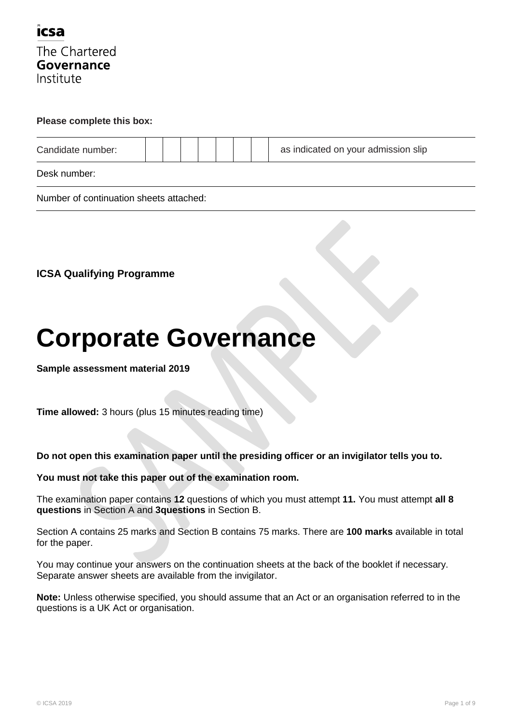

#### **Please complete this box:**

| Candidate number: |  |  |  | as indicated on your admission slip |
|-------------------|--|--|--|-------------------------------------|
| Desk number:      |  |  |  |                                     |

Number of continuation sheets attached:

**ICSA Qualifying Programme**

# **Corporate Governance**

**Sample assessment material 2019**

**Time allowed:** 3 hours (plus 15 minutes reading time)

**Do not open this examination paper until the presiding officer or an invigilator tells you to.**

#### **You must not take this paper out of the examination room.**

The examination paper contains **12** questions of which you must attempt **11.** You must attempt **all 8 questions** in Section A and **3questions** in Section B.

Section A contains 25 marks and Section B contains 75 marks. There are **100 marks** available in total for the paper.

You may continue your answers on the continuation sheets at the back of the booklet if necessary. Separate answer sheets are available from the invigilator.

**Note:** Unless otherwise specified, you should assume that an Act or an organisation referred to in the questions is a UK Act or organisation.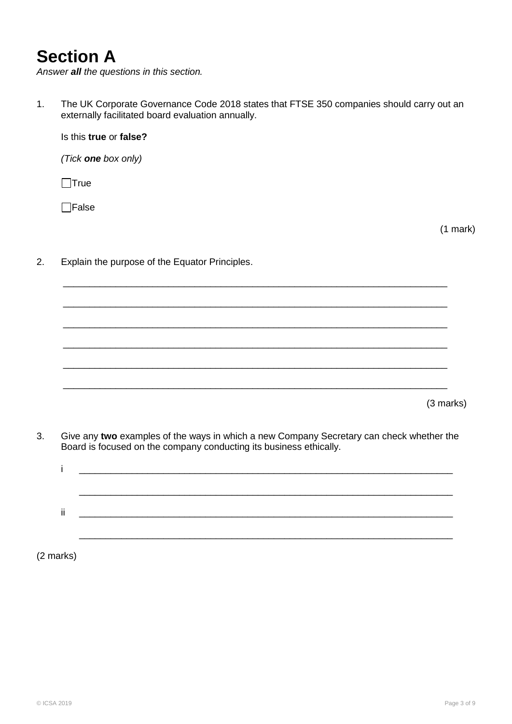# **Section A**

*Answer all the questions in this section.*

1. The UK Corporate Governance Code 2018 states that FTSE 350 companies should carry out an externally facilitated board evaluation annually.

Is this **true** or **false?**

*(Tick one box only)*

 $\Box$ True

 $\Box$ False

(1 mark)

2. Explain the purpose of the Equator Principles.

(3 marks)

3. Give any **two** examples of the ways in which a new Company Secretary can check whether the Board is focused on the company conducting its business ethically.

\_\_\_\_\_\_\_\_\_\_\_\_\_\_\_\_\_\_\_\_\_\_\_\_\_\_\_\_\_\_\_\_\_\_\_\_\_\_\_\_\_\_\_\_\_\_\_\_\_\_\_\_\_\_\_\_\_\_\_\_\_\_\_\_\_\_\_\_\_\_\_\_\_

\_\_\_\_\_\_\_\_\_\_\_\_\_\_\_\_\_\_\_\_\_\_\_\_\_\_\_\_\_\_\_\_\_\_\_\_\_\_\_\_\_\_\_\_\_\_\_\_\_\_\_\_\_\_\_\_\_\_\_\_\_\_\_\_\_\_\_\_\_\_\_\_\_

\_\_\_\_\_\_\_\_\_\_\_\_\_\_\_\_\_\_\_\_\_\_\_\_\_\_\_\_\_\_\_\_\_\_\_\_\_\_\_\_\_\_\_\_\_\_\_\_\_\_\_\_\_\_\_\_\_\_\_\_\_\_\_\_\_\_\_\_\_\_\_\_\_

\_\_\_\_\_\_\_\_\_\_\_\_\_\_\_\_\_\_\_\_\_\_\_\_\_\_\_\_\_\_\_\_\_\_\_\_\_\_\_\_\_\_\_\_\_\_\_\_\_\_\_\_\_\_\_\_\_\_\_\_\_\_\_\_\_\_\_\_\_\_\_\_\_

\_\_\_\_\_\_\_\_\_\_\_\_\_\_\_\_\_\_\_\_\_\_\_\_\_\_\_\_\_\_\_\_\_\_\_\_\_\_\_\_\_\_\_\_\_\_\_\_\_\_\_\_\_\_\_\_\_\_\_\_\_\_\_\_\_\_\_\_\_\_\_\_\_

\_\_\_\_\_\_\_\_\_\_\_\_\_\_\_\_\_\_\_\_\_\_\_\_\_\_\_\_\_\_\_\_\_\_\_\_\_\_\_\_\_\_\_\_\_\_\_\_\_\_\_\_\_\_\_\_\_\_\_\_\_\_\_\_\_\_\_\_\_\_\_\_\_

| $\blacksquare$ |  |
|----------------|--|
|                |  |
|                |  |

(2 marks)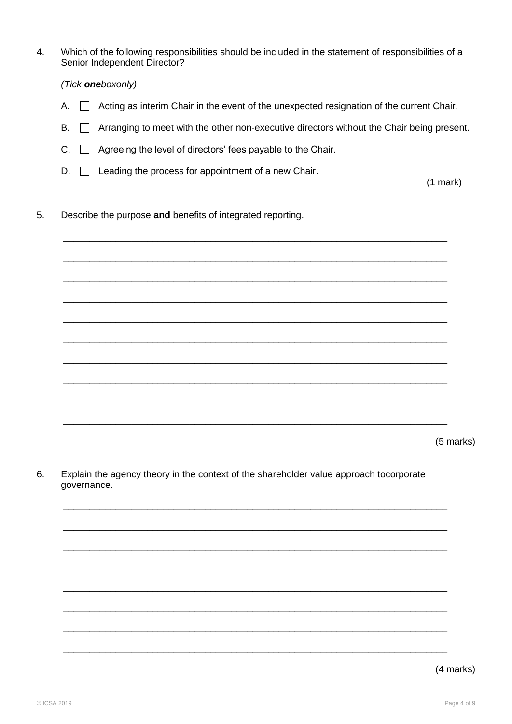$\overline{4}$ . Which of the following responsibilities should be included in the statement of responsibilities of a Senior Independent Director?

(Tick oneboxonly)

- A.  $\Box$  Acting as interim Chair in the event of the unexpected resignation of the current Chair.
- Arranging to meet with the other non-executive directors without the Chair being present. **B.**  $\Box$
- $C.$   $\Box$  Agreeing the level of directors' fees payable to the Chair.
- $D.$  Leading the process for appointment of a new Chair.

 $(1 mark)$ 

 $5<sub>1</sub>$ Describe the purpose and benefits of integrated reporting.

(5 marks)

6. Explain the agency theory in the context of the shareholder value approach tocorporate governance.

(4 marks)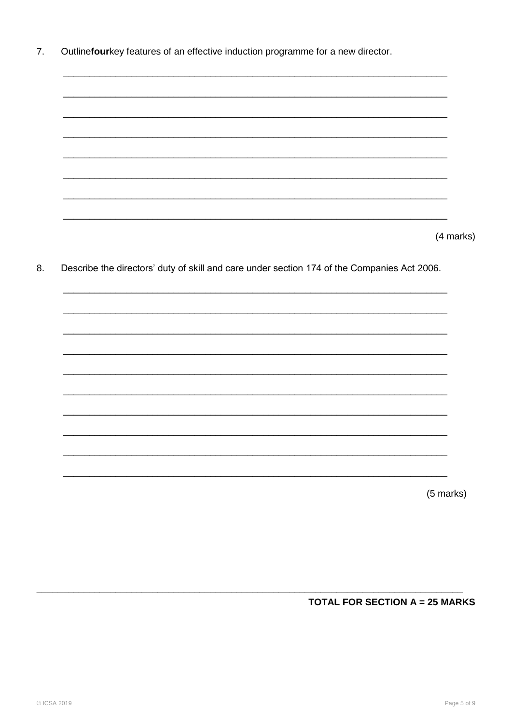Outlinefourkey features of an effective induction programme for a new director. 7.

(4 marks)

8. Describe the directors' duty of skill and care under section 174 of the Companies Act 2006.

(5 marks)

## **TOTAL FOR SECTION A = 25 MARKS**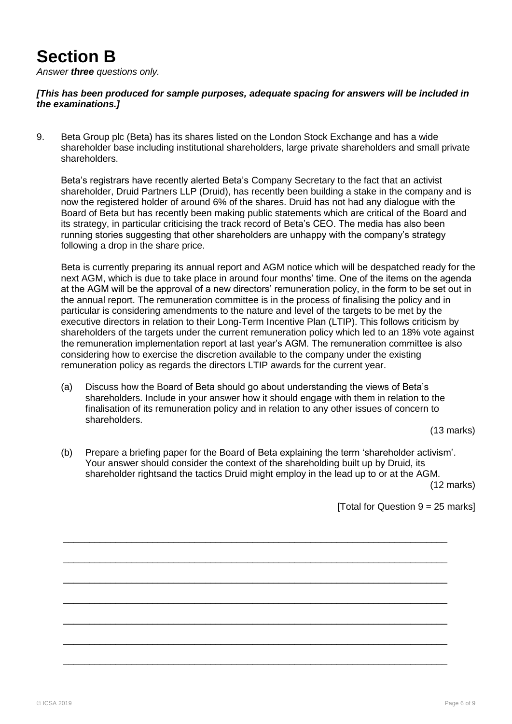# **Section B**

*Answer three questions only.*

### *[This has been produced for sample purposes, adequate spacing for answers will be included in the examinations.]*

9. Beta Group plc (Beta) has its shares listed on the London Stock Exchange and has a wide shareholder base including institutional shareholders, large private shareholders and small private shareholders.

Beta's registrars have recently alerted Beta's Company Secretary to the fact that an activist shareholder, Druid Partners LLP (Druid), has recently been building a stake in the company and is now the registered holder of around 6% of the shares. Druid has not had any dialogue with the Board of Beta but has recently been making public statements which are critical of the Board and its strategy, in particular criticising the track record of Beta"s CEO. The media has also been running stories suggesting that other shareholders are unhappy with the company"s strategy following a drop in the share price.

Beta is currently preparing its annual report and AGM notice which will be despatched ready for the next AGM, which is due to take place in around four months" time. One of the items on the agenda at the AGM will be the approval of a new directors" remuneration policy, in the form to be set out in the annual report. The remuneration committee is in the process of finalising the policy and in particular is considering amendments to the nature and level of the targets to be met by the executive directors in relation to their Long-Term Incentive Plan (LTIP). This follows criticism by shareholders of the targets under the current remuneration policy which led to an 18% vote against the remuneration implementation report at last year"s AGM. The remuneration committee is also considering how to exercise the discretion available to the company under the existing remuneration policy as regards the directors LTIP awards for the current year.

(a) Discuss how the Board of Beta should go about understanding the views of Beta"s shareholders. Include in your answer how it should engage with them in relation to the finalisation of its remuneration policy and in relation to any other issues of concern to shareholders.

(13 marks)

(b) Prepare a briefing paper for the Board of Beta explaining the term "shareholder activism". Your answer should consider the context of the shareholding built up by Druid, its shareholder rightsand the tactics Druid might employ in the lead up to or at the AGM.

\_\_\_\_\_\_\_\_\_\_\_\_\_\_\_\_\_\_\_\_\_\_\_\_\_\_\_\_\_\_\_\_\_\_\_\_\_\_\_\_\_\_\_\_\_\_\_\_\_\_\_\_\_\_\_\_\_\_\_\_\_\_\_\_\_\_\_\_\_\_\_\_\_

\_\_\_\_\_\_\_\_\_\_\_\_\_\_\_\_\_\_\_\_\_\_\_\_\_\_\_\_\_\_\_\_\_\_\_\_\_\_\_\_\_\_\_\_\_\_\_\_\_\_\_\_\_\_\_\_\_\_\_\_\_\_\_\_\_\_\_\_\_\_\_\_\_

\_\_\_\_\_\_\_\_\_\_\_\_\_\_\_\_\_\_\_\_\_\_\_\_\_\_\_\_\_\_\_\_\_\_\_\_\_\_\_\_\_\_\_\_\_\_\_\_\_\_\_\_\_\_\_\_\_\_\_\_\_\_\_\_\_\_\_\_\_\_\_\_\_

\_\_\_\_\_\_\_\_\_\_\_\_\_\_\_\_\_\_\_\_\_\_\_\_\_\_\_\_\_\_\_\_\_\_\_\_\_\_\_\_\_\_\_\_\_\_\_\_\_\_\_\_\_\_\_\_\_\_\_\_\_\_\_\_\_\_\_\_\_\_\_\_\_

\_\_\_\_\_\_\_\_\_\_\_\_\_\_\_\_\_\_\_\_\_\_\_\_\_\_\_\_\_\_\_\_\_\_\_\_\_\_\_\_\_\_\_\_\_\_\_\_\_\_\_\_\_\_\_\_\_\_\_\_\_\_\_\_\_\_\_\_\_\_\_\_\_

\_\_\_\_\_\_\_\_\_\_\_\_\_\_\_\_\_\_\_\_\_\_\_\_\_\_\_\_\_\_\_\_\_\_\_\_\_\_\_\_\_\_\_\_\_\_\_\_\_\_\_\_\_\_\_\_\_\_\_\_\_\_\_\_\_\_\_\_\_\_\_\_\_

\_\_\_\_\_\_\_\_\_\_\_\_\_\_\_\_\_\_\_\_\_\_\_\_\_\_\_\_\_\_\_\_\_\_\_\_\_\_\_\_\_\_\_\_\_\_\_\_\_\_\_\_\_\_\_\_\_\_\_\_\_\_\_\_\_\_\_\_\_\_\_\_\_

(12 marks)

[Total for Question  $9 = 25$  marks]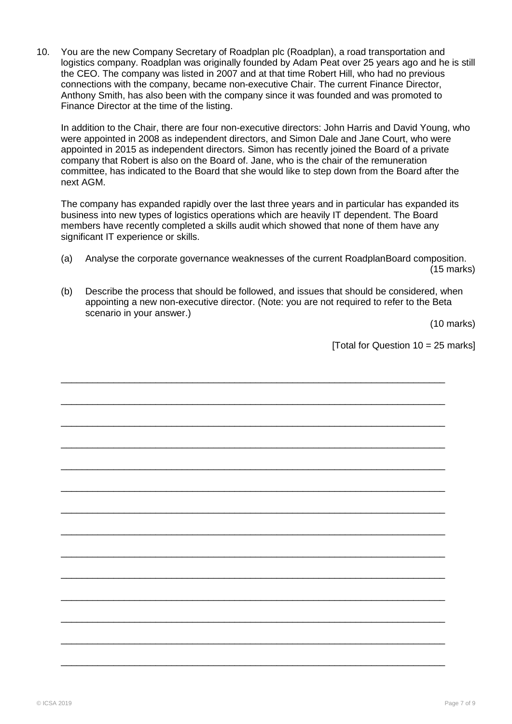10. You are the new Company Secretary of Roadplan plc (Roadplan), a road transportation and logistics company. Roadplan was originally founded by Adam Peat over 25 years ago and he is still the CEO. The company was listed in 2007 and at that time Robert Hill, who had no previous connections with the company, became non-executive Chair. The current Finance Director, Anthony Smith, has also been with the company since it was founded and was promoted to Finance Director at the time of the listing.

In addition to the Chair, there are four non-executive directors: John Harris and David Young, who were appointed in 2008 as independent directors, and Simon Dale and Jane Court, who were appointed in 2015 as independent directors. Simon has recently joined the Board of a private company that Robert is also on the Board of. Jane, who is the chair of the remuneration committee, has indicated to the Board that she would like to step down from the Board after the next AGM.

The company has expanded rapidly over the last three years and in particular has expanded its business into new types of logistics operations which are heavily IT dependent. The Board members have recently completed a skills audit which showed that none of them have any significant IT experience or skills.

- (a) Analyse the corporate governance weaknesses of the current RoadplanBoard composition. (15 marks)
- (b) Describe the process that should be followed, and issues that should be considered, when appointing a new non-executive director. (Note: you are not required to refer to the Beta scenario in your answer.)

(10 marks)

[Total for Question  $10 = 25$  marks]

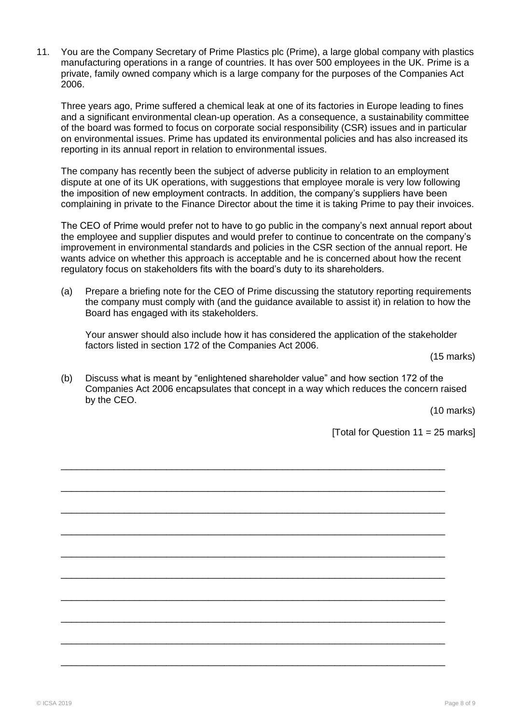11. You are the Company Secretary of Prime Plastics plc (Prime), a large global company with plastics manufacturing operations in a range of countries. It has over 500 employees in the UK. Prime is a private, family owned company which is a large company for the purposes of the Companies Act 2006.

Three years ago, Prime suffered a chemical leak at one of its factories in Europe leading to fines and a significant environmental clean-up operation. As a consequence, a sustainability committee of the board was formed to focus on corporate social responsibility (CSR) issues and in particular on environmental issues. Prime has updated its environmental policies and has also increased its reporting in its annual report in relation to environmental issues.

The company has recently been the subject of adverse publicity in relation to an employment dispute at one of its UK operations, with suggestions that employee morale is very low following the imposition of new employment contracts. In addition, the company"s suppliers have been complaining in private to the Finance Director about the time it is taking Prime to pay their invoices.

The CEO of Prime would prefer not to have to go public in the company"s next annual report about the employee and supplier disputes and would prefer to continue to concentrate on the company"s improvement in environmental standards and policies in the CSR section of the annual report. He wants advice on whether this approach is acceptable and he is concerned about how the recent regulatory focus on stakeholders fits with the board"s duty to its shareholders.

(a) Prepare a briefing note for the CEO of Prime discussing the statutory reporting requirements the company must comply with (and the guidance available to assist it) in relation to how the Board has engaged with its stakeholders.

Your answer should also include how it has considered the application of the stakeholder factors listed in section 172 of the Companies Act 2006.

(15 marks)

(b) Discuss what is meant by "enlightened shareholder value" and how section 172 of the Companies Act 2006 encapsulates that concept in a way which reduces the concern raised by the CEO.

\_\_\_\_\_\_\_\_\_\_\_\_\_\_\_\_\_\_\_\_\_\_\_\_\_\_\_\_\_\_\_\_\_\_\_\_\_\_\_\_\_\_\_\_\_\_\_\_\_\_\_\_\_\_\_\_\_\_\_\_\_\_\_\_\_\_\_\_\_\_\_\_\_

\_\_\_\_\_\_\_\_\_\_\_\_\_\_\_\_\_\_\_\_\_\_\_\_\_\_\_\_\_\_\_\_\_\_\_\_\_\_\_\_\_\_\_\_\_\_\_\_\_\_\_\_\_\_\_\_\_\_\_\_\_\_\_\_\_\_\_\_\_\_\_\_\_

\_\_\_\_\_\_\_\_\_\_\_\_\_\_\_\_\_\_\_\_\_\_\_\_\_\_\_\_\_\_\_\_\_\_\_\_\_\_\_\_\_\_\_\_\_\_\_\_\_\_\_\_\_\_\_\_\_\_\_\_\_\_\_\_\_\_\_\_\_\_\_\_\_

\_\_\_\_\_\_\_\_\_\_\_\_\_\_\_\_\_\_\_\_\_\_\_\_\_\_\_\_\_\_\_\_\_\_\_\_\_\_\_\_\_\_\_\_\_\_\_\_\_\_\_\_\_\_\_\_\_\_\_\_\_\_\_\_\_\_\_\_\_\_\_\_\_

\_\_\_\_\_\_\_\_\_\_\_\_\_\_\_\_\_\_\_\_\_\_\_\_\_\_\_\_\_\_\_\_\_\_\_\_\_\_\_\_\_\_\_\_\_\_\_\_\_\_\_\_\_\_\_\_\_\_\_\_\_\_\_\_\_\_\_\_\_\_\_\_\_

\_\_\_\_\_\_\_\_\_\_\_\_\_\_\_\_\_\_\_\_\_\_\_\_\_\_\_\_\_\_\_\_\_\_\_\_\_\_\_\_\_\_\_\_\_\_\_\_\_\_\_\_\_\_\_\_\_\_\_\_\_\_\_\_\_\_\_\_\_\_\_\_\_

\_\_\_\_\_\_\_\_\_\_\_\_\_\_\_\_\_\_\_\_\_\_\_\_\_\_\_\_\_\_\_\_\_\_\_\_\_\_\_\_\_\_\_\_\_\_\_\_\_\_\_\_\_\_\_\_\_\_\_\_\_\_\_\_\_\_\_\_\_\_\_\_\_

\_\_\_\_\_\_\_\_\_\_\_\_\_\_\_\_\_\_\_\_\_\_\_\_\_\_\_\_\_\_\_\_\_\_\_\_\_\_\_\_\_\_\_\_\_\_\_\_\_\_\_\_\_\_\_\_\_\_\_\_\_\_\_\_\_\_\_\_\_\_\_\_\_

\_\_\_\_\_\_\_\_\_\_\_\_\_\_\_\_\_\_\_\_\_\_\_\_\_\_\_\_\_\_\_\_\_\_\_\_\_\_\_\_\_\_\_\_\_\_\_\_\_\_\_\_\_\_\_\_\_\_\_\_\_\_\_\_\_\_\_\_\_\_\_\_\_

\_\_\_\_\_\_\_\_\_\_\_\_\_\_\_\_\_\_\_\_\_\_\_\_\_\_\_\_\_\_\_\_\_\_\_\_\_\_\_\_\_\_\_\_\_\_\_\_\_\_\_\_\_\_\_\_\_\_\_\_\_\_\_\_\_\_\_\_\_\_\_\_\_

(10 marks)

[Total for Question  $11 = 25$  marks]